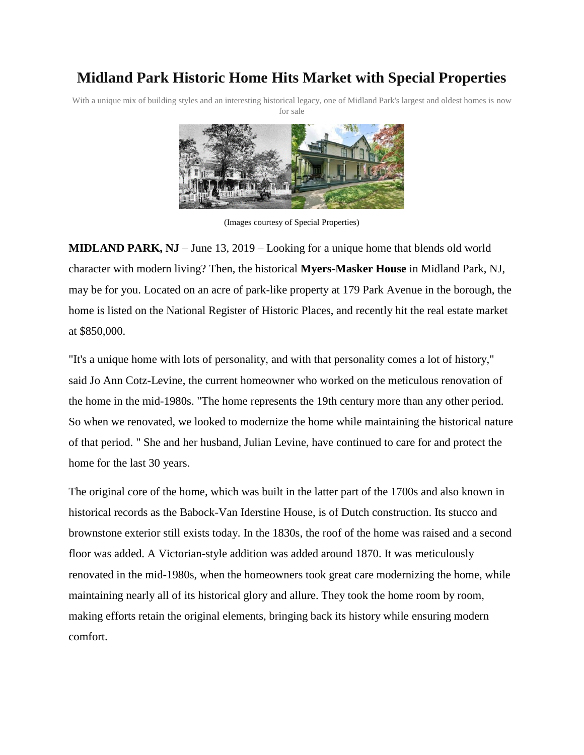## **Midland Park Historic Home Hits Market with Special Properties**

With a unique mix of building styles and an interesting historical legacy, one of Midland Park's largest and oldest homes is now for sale



(Images courtesy of Special Properties)

**MIDLAND PARK, NJ** – June 13, 2019 – Looking for a unique home that blends old world character with modern living? Then, the historical **Myers-Masker House** in Midland Park, NJ, may be for you. Located on an acre of park-like property at 179 Park Avenue in the borough, the home is listed on the National Register of Historic Places, and recently hit the real estate market at \$850,000.

"It's a unique home with lots of personality, and with that personality comes a lot of history," said Jo Ann Cotz-Levine, the current homeowner who worked on the meticulous renovation of the home in the mid-1980s. "The home represents the 19th century more than any other period. So when we renovated, we looked to modernize the home while maintaining the historical nature of that period. " She and her husband, Julian Levine, have continued to care for and protect the home for the last 30 years.

The original core of the home, which was built in the latter part of the 1700s and also known in historical records as the Babock-Van Iderstine House, is of Dutch construction. Its stucco and brownstone exterior still exists today. In the 1830s, the roof of the home was raised and a second floor was added. A Victorian-style addition was added around 1870. It was meticulously renovated in the mid-1980s, when the homeowners took great care modernizing the home, while maintaining nearly all of its historical glory and allure. They took the home room by room, making efforts retain the original elements, bringing back its history while ensuring modern comfort.